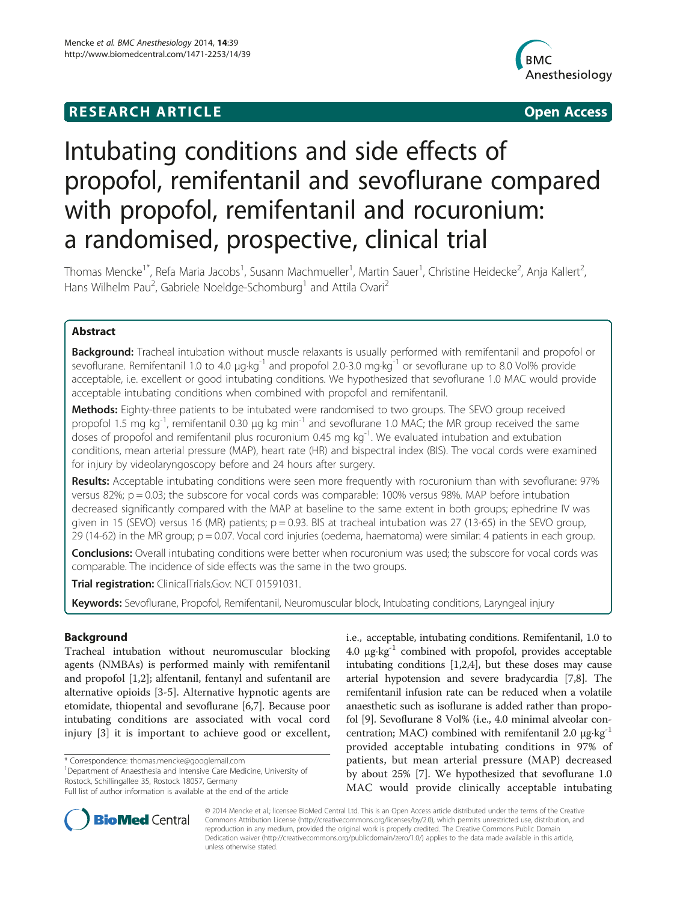## **RESEARCH ARTICLE Example 2014 12:30 The SEAR CH ACCESS**



# Intubating conditions and side effects of propofol, remifentanil and sevoflurane compared with propofol, remifentanil and rocuronium: a randomised, prospective, clinical trial

Thomas Mencke<sup>1\*</sup>, Refa Maria Jacobs<sup>1</sup>, Susann Machmueller<sup>1</sup>, Martin Sauer<sup>1</sup>, Christine Heidecke<sup>2</sup>, Anja Kallert<sup>2</sup> , Hans Wilhelm Pau<sup>2</sup>, Gabriele Noeldge-Schomburg<sup>1</sup> and Attila Ovari<sup>2</sup>

## Abstract

Background: Tracheal intubation without muscle relaxants is usually performed with remifentanil and propofol or sevoflurane. Remifentanil 1.0 to 4.0 μg·kg-1 and propofol 2.0-3.0 mg·kg-1 or sevoflurane up to 8.0 Vol% provide acceptable, i.e. excellent or good intubating conditions. We hypothesized that sevoflurane 1.0 MAC would provide acceptable intubating conditions when combined with propofol and remifentanil.

Methods: Eighty-three patients to be intubated were randomised to two groups. The SEVO group received propofol 1.5 mg kg<sup>-1</sup>, remifentanil 0.30 μg kg min<sup>-1</sup> and sevoflurane 1.0 MAC; the MR group received the same doses of propofol and remifentanil plus rocuronium 0.45 mg kg-1. We evaluated intubation and extubation conditions, mean arterial pressure (MAP), heart rate (HR) and bispectral index (BIS). The vocal cords were examined for injury by videolaryngoscopy before and 24 hours after surgery.

Results: Acceptable intubating conditions were seen more frequently with rocuronium than with sevoflurane: 97% versus 82%; p = 0.03; the subscore for vocal cords was comparable: 100% versus 98%. MAP before intubation decreased significantly compared with the MAP at baseline to the same extent in both groups; ephedrine IV was given in 15 (SEVO) versus 16 (MR) patients;  $p = 0.93$ . BIS at tracheal intubation was 27 (13-65) in the SEVO group, 29 (14-62) in the MR group; p = 0.07. Vocal cord injuries (oedema, haematoma) were similar: 4 patients in each group.

Conclusions: Overall intubating conditions were better when rocuronium was used; the subscore for vocal cords was comparable. The incidence of side effects was the same in the two groups.

Trial registration: ClinicalTrials.Gov: [NCT 01591031](https://www.clinicaltrials.gov/ct2/show/NCT01591031).

Keywords: Sevoflurane, Propofol, Remifentanil, Neuromuscular block, Intubating conditions, Laryngeal injury

## Background

Tracheal intubation without neuromuscular blocking agents (NMBAs) is performed mainly with remifentanil and propofol [[1](#page-7-0),[2](#page-7-0)]; alfentanil, fentanyl and sufentanil are alternative opioids [[3-5](#page-7-0)]. Alternative hypnotic agents are etomidate, thiopental and sevoflurane [\[6,7\]](#page-7-0). Because poor intubating conditions are associated with vocal cord injury [\[3](#page-7-0)] it is important to achieve good or excellent,

\* Correspondence: [thomas.mencke@googlemail.com](mailto:thomas.mencke@googlemail.com) <sup>1</sup>

<sup>1</sup>Department of Anaesthesia and Intensive Care Medicine, University of Rostock, Schillingallee 35, Rostock 18057, Germany

i.e., acceptable, intubating conditions. Remifentanil, 1.0 to 4.0  $\mu$ g·kg<sup>-1</sup> combined with propofol, provides acceptable intubating conditions [\[1,2,4\]](#page-7-0), but these doses may cause arterial hypotension and severe bradycardia [\[7,8\]](#page-7-0). The remifentanil infusion rate can be reduced when a volatile anaesthetic such as isoflurane is added rather than propofol [\[9](#page-7-0)]. Sevoflurane 8 Vol% (i.e., 4.0 minimal alveolar concentration; MAC) combined with remifentanil 2.0 μg·kg-1 provided acceptable intubating conditions in 97% of patients, but mean arterial pressure (MAP) decreased by about 25% [[7](#page-7-0)]. We hypothesized that sevoflurane 1.0 MAC would provide clinically acceptable intubating



© 2014 Mencke et al.; licensee BioMed Central Ltd. This is an Open Access article distributed under the terms of the Creative Commons Attribution License [\(http://creativecommons.org/licenses/by/2.0\)](http://creativecommons.org/licenses/by/2.0), which permits unrestricted use, distribution, and reproduction in any medium, provided the original work is properly credited. The Creative Commons Public Domain Dedication waiver [\(http://creativecommons.org/publicdomain/zero/1.0/](http://creativecommons.org/publicdomain/zero/1.0/)) applies to the data made available in this article, unless otherwise stated.

Full list of author information is available at the end of the article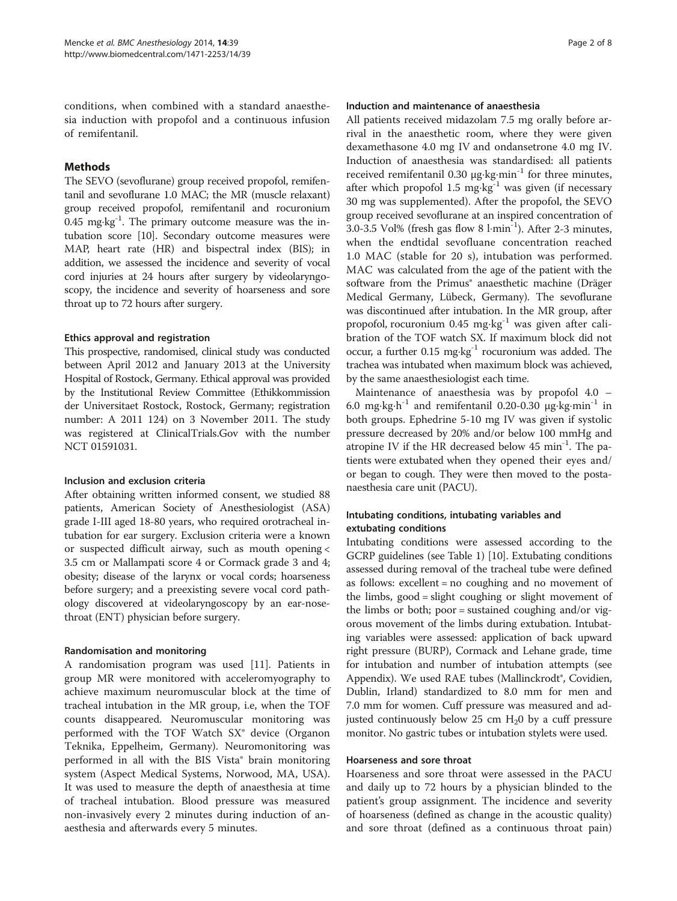conditions, when combined with a standard anaesthesia induction with propofol and a continuous infusion of remifentanil.

## Methods

The SEVO (sevoflurane) group received propofol, remifentanil and sevoflurane 1.0 MAC; the MR (muscle relaxant) group received propofol, remifentanil and rocuronium  $0.45$  mg·kg<sup>-1</sup>. The primary outcome measure was the intubation score [\[10](#page-7-0)]. Secondary outcome measures were MAP, heart rate (HR) and bispectral index (BIS); in addition, we assessed the incidence and severity of vocal cord injuries at 24 hours after surgery by videolaryngoscopy, the incidence and severity of hoarseness and sore throat up to 72 hours after surgery.

## Ethics approval and registration

This prospective, randomised, clinical study was conducted between April 2012 and January 2013 at the University Hospital of Rostock, Germany. Ethical approval was provided by the Institutional Review Committee (Ethikkommission der Universitaet Rostock, Rostock, Germany; registration number: A 2011 124) on 3 November 2011. The study was registered at ClinicalTrials.Gov with the number NCT 01591031.

#### Inclusion and exclusion criteria

After obtaining written informed consent, we studied 88 patients, American Society of Anesthesiologist (ASA) grade I-III aged 18-80 years, who required orotracheal intubation for ear surgery. Exclusion criteria were a known or suspected difficult airway, such as mouth opening < 3.5 cm or Mallampati score 4 or Cormack grade 3 and 4; obesity; disease of the larynx or vocal cords; hoarseness before surgery; and a preexisting severe vocal cord pathology discovered at videolaryngoscopy by an ear-nosethroat (ENT) physician before surgery.

#### Randomisation and monitoring

A randomisation program was used [\[11](#page-7-0)]. Patients in group MR were monitored with acceleromyography to achieve maximum neuromuscular block at the time of tracheal intubation in the MR group, i.e, when the TOF counts disappeared. Neuromuscular monitoring was performed with the TOF Watch SX® device (Organon Teknika, Eppelheim, Germany). Neuromonitoring was performed in all with the BIS Vista® brain monitoring system (Aspect Medical Systems, Norwood, MA, USA). It was used to measure the depth of anaesthesia at time of tracheal intubation. Blood pressure was measured non-invasively every 2 minutes during induction of anaesthesia and afterwards every 5 minutes.

## Induction and maintenance of anaesthesia

All patients received midazolam 7.5 mg orally before arrival in the anaesthetic room, where they were given dexamethasone 4.0 mg IV and ondansetrone 4.0 mg IV. Induction of anaesthesia was standardised: all patients received remifentanil 0.30 μg·kg·min<sup>-1</sup> for three minutes, after which propofol 1.5  $mg \cdot kg^{-1}$  was given (if necessary 30 mg was supplemented). After the propofol, the SEVO group received sevoflurane at an inspired concentration of 3.0-3.5 Vol% (fresh gas flow 8 l·min-1). After 2-3 minutes, when the endtidal sevofluane concentration reached 1.0 MAC (stable for 20 s), intubation was performed. MAC was calculated from the age of the patient with the software from the Primus<sup>®</sup> anaesthetic machine (Dräger Medical Germany, Lübeck, Germany). The sevoflurane was discontinued after intubation. In the MR group, after propofol, rocuronium 0.45 mg·kg<sup>-1</sup> was given after calibration of the TOF watch SX. If maximum block did not occur, a further  $0.15$  mg·kg<sup>-1</sup> rocuronium was added. The trachea was intubated when maximum block was achieved, by the same anaesthesiologist each time.

Maintenance of anaesthesia was by propofol 4.0 – 6.0 mg·kg·h<sup>-1</sup> and remifentanil 0.20-0.30 μg·kg·min<sup>-1</sup> in both groups. Ephedrine 5-10 mg IV was given if systolic pressure decreased by 20% and/or below 100 mmHg and atropine IV if the HR decreased below  $45 \text{ min}^{-1}$ . The patients were extubated when they opened their eyes and/ or began to cough. They were then moved to the postanaesthesia care unit (PACU).

## Intubating conditions, intubating variables and extubating conditions

Intubating conditions were assessed according to the GCRP guidelines (see Table [1](#page-2-0)) [[10](#page-7-0)]. Extubating conditions assessed during removal of the tracheal tube were defined as follows: excellent = no coughing and no movement of the limbs, good = slight coughing or slight movement of the limbs or both; poor = sustained coughing and/or vigorous movement of the limbs during extubation. Intubating variables were assessed: application of back upward right pressure (BURP), Cormack and Lehane grade, time for intubation and number of intubation attempts (see [Appendix\)](#page-6-0). We used RAE tubes (Mallinckrodt®, Covidien, Dublin, Irland) standardized to 8.0 mm for men and 7.0 mm for women. Cuff pressure was measured and adjusted continuously below 25 cm  $H_2$ 0 by a cuff pressure monitor. No gastric tubes or intubation stylets were used.

## Hoarseness and sore throat

Hoarseness and sore throat were assessed in the PACU and daily up to 72 hours by a physician blinded to the patient's group assignment. The incidence and severity of hoarseness (defined as change in the acoustic quality) and sore throat (defined as a continuous throat pain)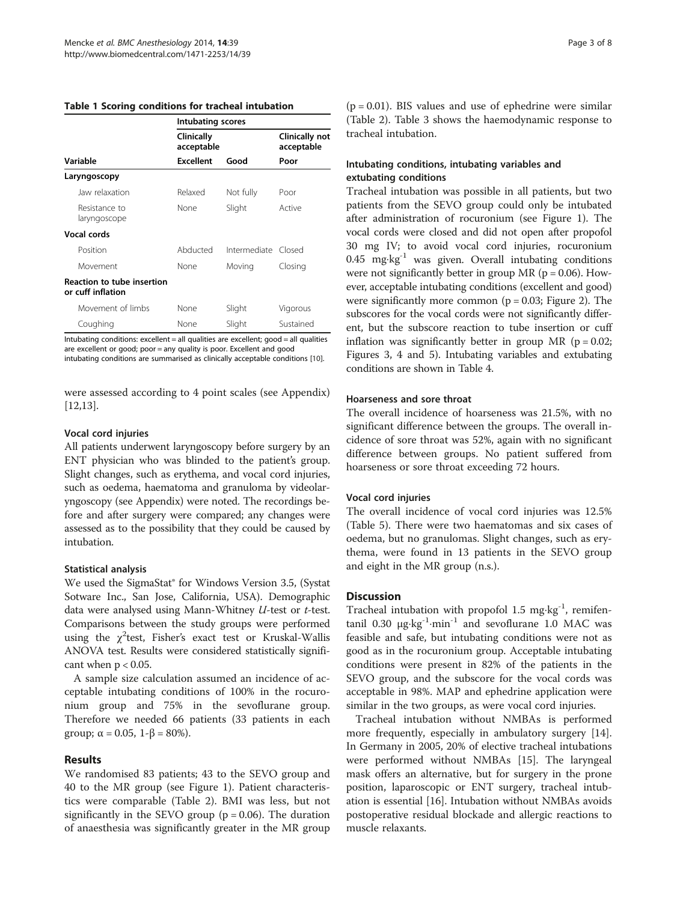<span id="page-2-0"></span>

|  |  | Table 1 Scoring conditions for tracheal intubation |  |  |  |
|--|--|----------------------------------------------------|--|--|--|
|--|--|----------------------------------------------------|--|--|--|

|                                                        | Intubating scores        |              |                              |  |  |
|--------------------------------------------------------|--------------------------|--------------|------------------------------|--|--|
|                                                        | Clinically<br>acceptable |              | Clinically not<br>acceptable |  |  |
| Variable                                               | <b>Excellent</b>         | Good         | Poor                         |  |  |
| Laryngoscopy                                           |                          |              |                              |  |  |
| Jaw relaxation                                         | Relaxed                  | Not fully    | Poor                         |  |  |
| Resistance to<br>laryngoscope                          | None                     | Slight       | Active                       |  |  |
| Vocal cords                                            |                          |              |                              |  |  |
| Position                                               | Abducted                 | Intermediate | Closed                       |  |  |
| Movement                                               | None                     | Moving       | Closing                      |  |  |
| <b>Reaction to tube insertion</b><br>or cuff inflation |                          |              |                              |  |  |
| Movement of limbs                                      | None                     | Slight       | Vigorous                     |  |  |
| Coughing                                               | None                     | Slight       | Sustained                    |  |  |

Intubating conditions: excellent = all qualities are excellent; good = all qualities are excellent or good; poor = any quality is poor. Excellent and good intubating conditions are summarised as clinically acceptable conditions [[10](#page-7-0)].

were assessed according to 4 point scales (see [Appendix](#page-6-0)) [[12,13\]](#page-7-0).

#### Vocal cord injuries

All patients underwent laryngoscopy before surgery by an ENT physician who was blinded to the patient's group. Slight changes, such as erythema, and vocal cord injuries, such as oedema, haematoma and granuloma by videolaryngoscopy (see [Appendix\)](#page-6-0) were noted. The recordings before and after surgery were compared; any changes were assessed as to the possibility that they could be caused by intubation.

## Statistical analysis

We used the SigmaStat® for Windows Version 3.5, (Systat Sotware Inc., San Jose, California, USA). Demographic data were analysed using Mann-Whitney U-test or t-test. Comparisons between the study groups were performed using the  $\chi^2$ test, Fisher's exact test or Kruskal-Wallis ANOVA test. Results were considered statistically significant when  $p < 0.05$ .

A sample size calculation assumed an incidence of acceptable intubating conditions of 100% in the rocuronium group and 75% in the sevoflurane group. Therefore we needed 66 patients (33 patients in each group;  $\alpha = 0.05$ ,  $1-\beta = 80\%$ ).

## Results

We randomised 83 patients; 43 to the SEVO group and 40 to the MR group (see Figure [1\)](#page-3-0). Patient characteristics were comparable (Table [2](#page-3-0)). BMI was less, but not significantly in the SEVO group ( $p = 0.06$ ). The duration of anaesthesia was significantly greater in the MR group

 $(p = 0.01)$ . BIS values and use of ephedrine were similar (Table [2](#page-3-0)). Table [3](#page-3-0) shows the haemodynamic response to tracheal intubation.

## Intubating conditions, intubating variables and extubating conditions

Tracheal intubation was possible in all patients, but two patients from the SEVO group could only be intubated after administration of rocuronium (see Figure [1\)](#page-3-0). The vocal cords were closed and did not open after propofol 30 mg IV; to avoid vocal cord injuries, rocuronium  $0.45$  mg·kg<sup>-1</sup> was given. Overall intubating conditions were not significantly better in group  $MR$  ( $p = 0.06$ ). However, acceptable intubating conditions (excellent and good) were significantly more common ( $p = 0.03$ ; Figure [2](#page-4-0)). The subscores for the vocal cords were not significantly different, but the subscore reaction to tube insertion or cuff inflation was significantly better in group MR ( $p = 0.02$ ; Figures [3, 4](#page-4-0) and [5\)](#page-4-0). Intubating variables and extubating conditions are shown in Table [4](#page-5-0).

#### Hoarseness and sore throat

The overall incidence of hoarseness was 21.5%, with no significant difference between the groups. The overall incidence of sore throat was 52%, again with no significant difference between groups. No patient suffered from hoarseness or sore throat exceeding 72 hours.

#### Vocal cord injuries

The overall incidence of vocal cord injuries was 12.5% (Table [5\)](#page-5-0). There were two haematomas and six cases of oedema, but no granulomas. Slight changes, such as erythema, were found in 13 patients in the SEVO group and eight in the MR group (n.s.).

#### **Discussion**

Tracheal intubation with propofol 1.5 mg $kg^{-1}$ , remifentanil 0.30  $\mu$ g·kg<sup>-1</sup>·min<sup>-1</sup> and sevoflurane 1.0 MAC was feasible and safe, but intubating conditions were not as good as in the rocuronium group. Acceptable intubating conditions were present in 82% of the patients in the SEVO group, and the subscore for the vocal cords was acceptable in 98%. MAP and ephedrine application were similar in the two groups, as were vocal cord injuries.

Tracheal intubation without NMBAs is performed more frequently, especially in ambulatory surgery [\[14](#page-7-0)]. In Germany in 2005, 20% of elective tracheal intubations were performed without NMBAs [[15\]](#page-7-0). The laryngeal mask offers an alternative, but for surgery in the prone position, laparoscopic or ENT surgery, tracheal intubation is essential [\[16](#page-7-0)]. Intubation without NMBAs avoids postoperative residual blockade and allergic reactions to muscle relaxants.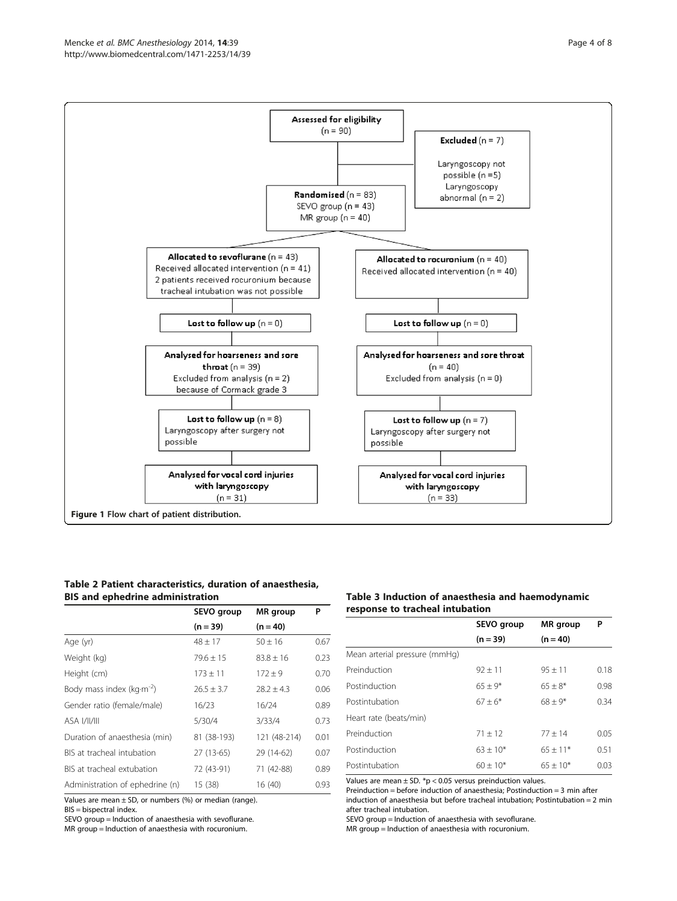<span id="page-3-0"></span>

## Table 2 Patient characteristics, duration of anaesthesia, BIS and ephedrine administration

|                                 | SEVO group     | <b>MR</b> group | P    |
|---------------------------------|----------------|-----------------|------|
|                                 | $(n = 39)$     | $(n = 40)$      |      |
| Age (yr)                        | $48 \pm 17$    | $50 \pm 16$     | 0.67 |
| Weight (kg)                     | $79.6 \pm 15$  | $83.8 \pm 16$   | 0.23 |
| Height (cm)                     | $173 \pm 11$   | $172 \pm 9$     | 0.70 |
| Body mass index ( $kq·m-2$ )    | $26.5 \pm 3.7$ | $78.7 + 4.3$    | 0.06 |
| Gender ratio (female/male)      | 16/23          | 16/24           | 0.89 |
| ASA I/II/III                    | 5/30/4         | 3/33/4          | 0.73 |
| Duration of anaesthesia (min)   | 81 (38-193)    | 121 (48-214)    | 0.01 |
| BIS at tracheal intubation      | 27 (13-65)     | 29 (14-62)      | 0.07 |
| BIS at tracheal extubation      | 72 (43-91)     | 71 (42-88)      | 0.89 |
| Administration of ephedrine (n) | 15 (38)        | 16 (40)         | 0.93 |

Values are mean  $\pm$  SD, or numbers (%) or median (range). BIS = bispectral index.

SEVO group = Induction of anaesthesia with sevoflurane.

MR group = Induction of anaesthesia with rocuronium.

## Table 3 Induction of anaesthesia and haemodynamic response to tracheal intubation

|                               | SEVO group | MR group   | P    |
|-------------------------------|------------|------------|------|
|                               | $(n = 39)$ | $(n = 40)$ |      |
| Mean arterial pressure (mmHg) |            |            |      |
| Preinduction                  | $92 + 11$  | $95 + 11$  | 0.18 |
| Postinduction                 | $65 + 9*$  | $65 + 8*$  | 0.98 |
| Postintubation                | $67 + 6*$  | $68 + 9*$  | 0.34 |
| Heart rate (beats/min)        |            |            |      |
| Preinduction                  | $71 + 12$  | $77 + 14$  | 0.05 |
| Postinduction                 | $63 + 10*$ | $65 + 11*$ | 0.51 |
| Postintubation                | $60 + 10*$ | $65 + 10*$ | 0.03 |
|                               |            |            |      |

Values are mean  $\pm$  SD.  $*p < 0.05$  versus preinduction values.

Preinduction = before induction of anaesthesia; Postinduction = 3 min after induction of anaesthesia but before tracheal intubation; Postintubation = 2 min after tracheal intubation.

SEVO group = Induction of anaesthesia with sevoflurane.

MR group = Induction of anaesthesia with rocuronium.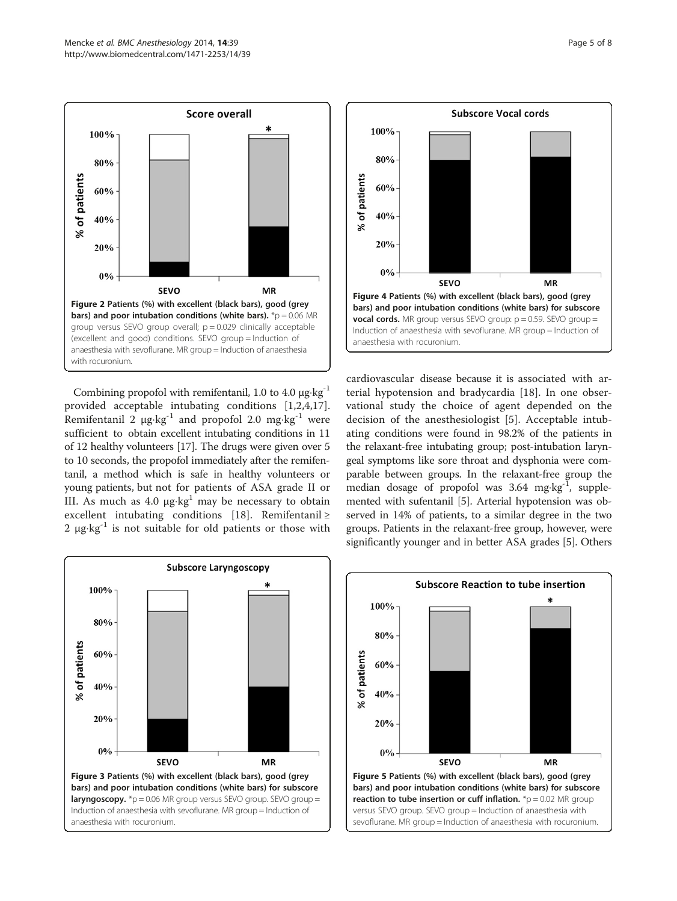<span id="page-4-0"></span>

Combining propofol with remifentanil, 1.0 to 4.0 μg·kg-1 provided acceptable intubating conditions [\[1](#page-7-0),[2,4,17](#page-7-0)]. Remifentanil 2  $\mu$ g·kg<sup>-1</sup> and propofol 2.0 mg·kg<sup>-1</sup> were sufficient to obtain excellent intubating conditions in 11 of 12 healthy volunteers [[17](#page-7-0)]. The drugs were given over 5 to 10 seconds, the propofol immediately after the remifentanil, a method which is safe in healthy volunteers or young patients, but not for patients of ASA grade II or III. As much as  $4.0 \mu g \cdot kg^1$  may be necessary to obtain excellent intubating conditions [[18\]](#page-7-0). Remifentanil ≥ 2  $\mu$ g·kg<sup>-1</sup> is not suitable for old patients or those with



cardiovascular disease because it is associated with arterial hypotension and bradycardia [[18\]](#page-7-0). In one observational study the choice of agent depended on the decision of the anesthesiologist [[5\]](#page-7-0). Acceptable intubating conditions were found in 98.2% of the patients in the relaxant-free intubating group; post-intubation laryngeal symptoms like sore throat and dysphonia were comparable between groups. In the relaxant-free group the median dosage of propofol was  $3.64$  mg·kg<sup>-1</sup>, supplemented with sufentanil [[5\]](#page-7-0). Arterial hypotension was observed in 14% of patients, to a similar degree in the two groups. Patients in the relaxant-free group, however, were significantly younger and in better ASA grades [\[5](#page-7-0)]. Others



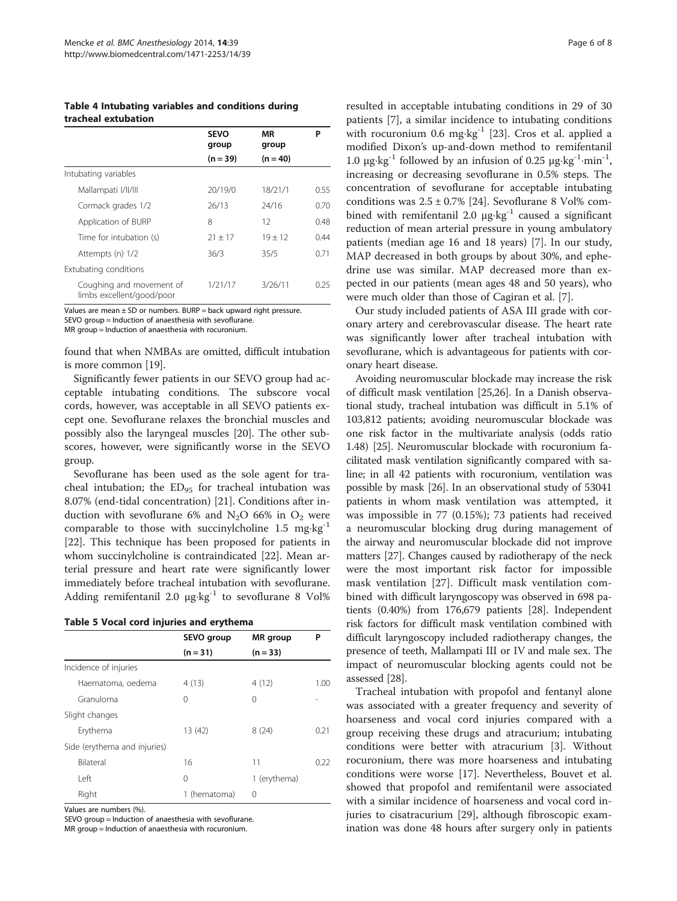<span id="page-5-0"></span>Table 4 Intubating variables and conditions during tracheal extubation

|                                                       | <b>SEVO</b><br>group | ΜR<br>group | Р    |
|-------------------------------------------------------|----------------------|-------------|------|
|                                                       | $(n = 39)$           | $(n = 40)$  |      |
| Intubating variables                                  |                      |             |      |
| Mallampati I/II/III                                   | 20/19/0              | 18/21/1     | 0.55 |
| Cormack grades 1/2                                    | 26/13                | 24/16       | 0.70 |
| Application of BURP                                   | 8                    | 12          | 0.48 |
| Time for intubation (s)                               | $21 + 17$            | $19 + 12$   | 0.44 |
| Attempts (n) 1/2                                      | 36/3                 | 35/5        | 0.71 |
| Extubating conditions                                 |                      |             |      |
| Coughing and movement of<br>limbs excellent/good/poor | 1/21/17              | 3/26/11     | 0.25 |

Values are mean  $\pm$  SD or numbers. BURP = back upward right pressure. SEVO group = Induction of anaesthesia with sevoflurane.

MR group = Induction of anaesthesia with rocuronium.

found that when NMBAs are omitted, difficult intubation is more common [[19](#page-7-0)].

Significantly fewer patients in our SEVO group had acceptable intubating conditions. The subscore vocal cords, however, was acceptable in all SEVO patients except one. Sevoflurane relaxes the bronchial muscles and possibly also the laryngeal muscles [[20](#page-7-0)]. The other subscores, however, were significantly worse in the SEVO group.

Sevoflurane has been used as the sole agent for tracheal intubation; the  $ED_{95}$  for tracheal intubation was 8.07% (end-tidal concentration) [[21\]](#page-7-0). Conditions after induction with sevoflurane 6% and  $N_2O$  66% in  $O_2$  were comparable to those with succinylcholine  $1.5 \text{ mg} \cdot \text{kg}^{-1}$ [[22\]](#page-7-0). This technique has been proposed for patients in whom succinylcholine is contraindicated [[22\]](#page-7-0). Mean arterial pressure and heart rate were significantly lower immediately before tracheal intubation with sevoflurane. Adding remifentanil 2.0  $\mu$ g·kg<sup>-1</sup> to sevoflurane 8 Vol%

| Table 5 Vocal cord injuries and erythema |  |  |  |  |  |  |
|------------------------------------------|--|--|--|--|--|--|
|------------------------------------------|--|--|--|--|--|--|

|                              | SEVO group   | MR group     | P    |
|------------------------------|--------------|--------------|------|
|                              | $(n = 31)$   | $(n = 33)$   |      |
| Incidence of injuries        |              |              |      |
| Haematoma, oedema            | 4(13)        | 4(12)        | 1.00 |
| Granuloma                    | 0            | 0            |      |
| Slight changes               |              |              |      |
| Erythema                     | 13 (42)      | 8(24)        | 0.21 |
| Side (erythema and injuries) |              |              |      |
| Bilateral                    | 16           | 11           | 0.22 |
| l eft                        | 0            | 1 (erythema) |      |
| Right                        | 1 (hematoma) | 0            |      |

Values are numbers (%).

SEVO group = Induction of anaesthesia with sevoflurane. MR group = Induction of anaesthesia with rocuronium.

resulted in acceptable intubating conditions in 29 of 30 patients [[7](#page-7-0)], a similar incidence to intubating conditions with rocuronium 0.6 mg·kg $^{-1}$  [[23\]](#page-7-0). Cros et al. applied a modified Dixon's up-and-down method to remifentanil 1.0 μg·kg<sup>-1</sup> followed by an infusion of 0.25 μg·kg<sup>-1</sup>·min<sup>-1</sup>, increasing or decreasing sevoflurane in 0.5% steps. The concentration of sevoflurane for acceptable intubating conditions was  $2.5 \pm 0.7\%$  [[24](#page-7-0)]. Sevoflurane 8 Vol% combined with remifentanil 2.0  $\mu$ g·kg<sup>-1</sup> caused a significant reduction of mean arterial pressure in young ambulatory patients (median age 16 and 18 years) [[7\]](#page-7-0). In our study, MAP decreased in both groups by about 30%, and ephedrine use was similar. MAP decreased more than expected in our patients (mean ages 48 and 50 years), who were much older than those of Cagiran et al. [\[7](#page-7-0)].

Our study included patients of ASA III grade with coronary artery and cerebrovascular disease. The heart rate was significantly lower after tracheal intubation with sevoflurane, which is advantageous for patients with coronary heart disease.

Avoiding neuromuscular blockade may increase the risk of difficult mask ventilation [\[25,26\]](#page-7-0). In a Danish observational study, tracheal intubation was difficult in 5.1% of 103,812 patients; avoiding neuromuscular blockade was one risk factor in the multivariate analysis (odds ratio 1.48) [\[25\]](#page-7-0). Neuromuscular blockade with rocuronium facilitated mask ventilation significantly compared with saline; in all 42 patients with rocuronium, ventilation was possible by mask [[26](#page-7-0)]. In an observational study of 53041 patients in whom mask ventilation was attempted, it was impossible in 77 (0.15%); 73 patients had received a neuromuscular blocking drug during management of the airway and neuromuscular blockade did not improve matters [\[27\]](#page-7-0). Changes caused by radiotherapy of the neck were the most important risk factor for impossible mask ventilation [[27](#page-7-0)]. Difficult mask ventilation combined with difficult laryngoscopy was observed in 698 patients (0.40%) from 176,679 patients [[28](#page-7-0)]. Independent risk factors for difficult mask ventilation combined with difficult laryngoscopy included radiotherapy changes, the presence of teeth, Mallampati III or IV and male sex. The impact of neuromuscular blocking agents could not be assessed [\[28](#page-7-0)].

Tracheal intubation with propofol and fentanyl alone was associated with a greater frequency and severity of hoarseness and vocal cord injuries compared with a group receiving these drugs and atracurium; intubating conditions were better with atracurium [[3\]](#page-7-0). Without rocuronium, there was more hoarseness and intubating conditions were worse [[17\]](#page-7-0). Nevertheless, Bouvet et al. showed that propofol and remifentanil were associated with a similar incidence of hoarseness and vocal cord injuries to cisatracurium [[29\]](#page-7-0), although fibroscopic examination was done 48 hours after surgery only in patients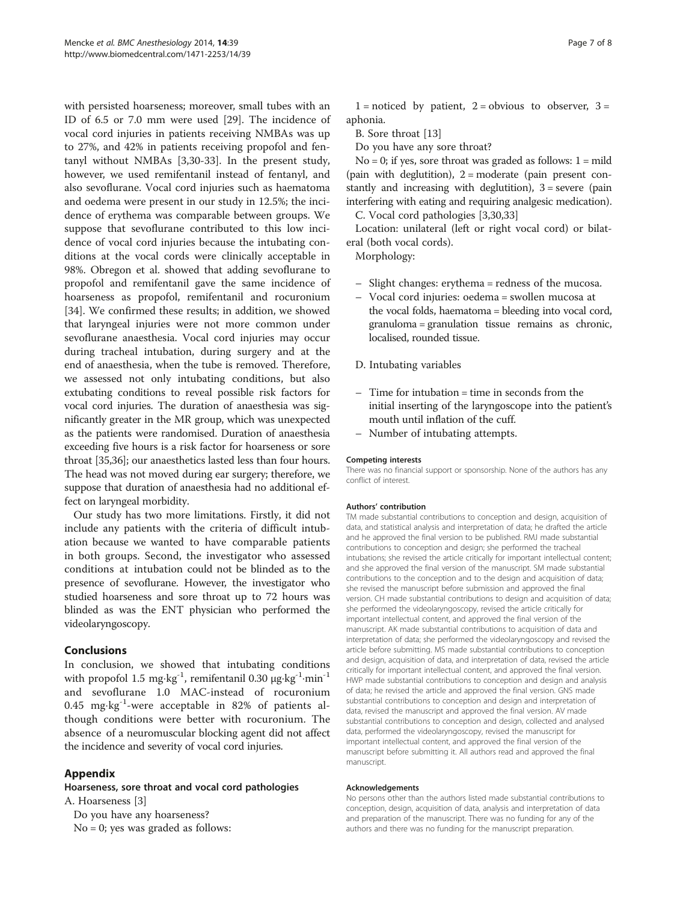<span id="page-6-0"></span>with persisted hoarseness; moreover, small tubes with an ID of 6.5 or 7.0 mm were used [[29](#page-7-0)]. The incidence of vocal cord injuries in patients receiving NMBAs was up to 27%, and 42% in patients receiving propofol and fentanyl without NMBAs [\[3,30](#page-7-0)-[33\]](#page-7-0). In the present study, however, we used remifentanil instead of fentanyl, and also sevoflurane. Vocal cord injuries such as haematoma and oedema were present in our study in 12.5%; the incidence of erythema was comparable between groups. We suppose that sevoflurane contributed to this low incidence of vocal cord injuries because the intubating conditions at the vocal cords were clinically acceptable in 98%. Obregon et al. showed that adding sevoflurane to propofol and remifentanil gave the same incidence of hoarseness as propofol, remifentanil and rocuronium [[34\]](#page-7-0). We confirmed these results; in addition, we showed that laryngeal injuries were not more common under sevoflurane anaesthesia. Vocal cord injuries may occur during tracheal intubation, during surgery and at the end of anaesthesia, when the tube is removed. Therefore, we assessed not only intubating conditions, but also extubating conditions to reveal possible risk factors for vocal cord injuries. The duration of anaesthesia was significantly greater in the MR group, which was unexpected as the patients were randomised. Duration of anaesthesia exceeding five hours is a risk factor for hoarseness or sore throat [[35,36](#page-7-0)]; our anaesthetics lasted less than four hours. The head was not moved during ear surgery; therefore, we suppose that duration of anaesthesia had no additional effect on laryngeal morbidity.

Our study has two more limitations. Firstly, it did not include any patients with the criteria of difficult intubation because we wanted to have comparable patients in both groups. Second, the investigator who assessed conditions at intubation could not be blinded as to the presence of sevoflurane. However, the investigator who studied hoarseness and sore throat up to 72 hours was blinded as was the ENT physician who performed the videolaryngoscopy.

#### **Conclusions**

In conclusion, we showed that intubating conditions with propofol 1.5 mg·kg<sup>-1</sup>, remifentanil 0.30  $\mu$ g·kg<sup>-1</sup>·min<sup>-1</sup> and sevoflurane 1.0 MAC-instead of rocuronium 0.45 mg $\text{kg}^{-1}$ -were acceptable in 82% of patients although conditions were better with rocuronium. The absence of a neuromuscular blocking agent did not affect the incidence and severity of vocal cord injuries.

## Appendix

Hoarseness, sore throat and vocal cord pathologies

A. Hoarseness [\[3](#page-7-0)] Do you have any hoarseness? No = 0; yes was graded as follows:

 $1 =$  noticed by patient,  $2 =$  obvious to observer,  $3 =$ aphonia.

B. Sore throat [[13\]](#page-7-0)

Do you have any sore throat?

 $No = 0$ ; if yes, sore throat was graded as follows:  $1 = mild$ (pain with deglutition),  $2 =$  moderate (pain present constantly and increasing with deglutition), 3 = severe (pain interfering with eating and requiring analgesic medication).

C. Vocal cord pathologies [\[3,30,33](#page-7-0)]

Location: unilateral (left or right vocal cord) or bilateral (both vocal cords).

Morphology:

- Slight changes: erythema = redness of the mucosa.
- Vocal cord injuries: oedema = swollen mucosa at the vocal folds, haematoma = bleeding into vocal cord, granuloma = granulation tissue remains as chronic, localised, rounded tissue.
- D. Intubating variables
- $-$  Time for intubation  $=$  time in seconds from the initial inserting of the laryngoscope into the patient's mouth until inflation of the cuff.
- Number of intubating attempts.

#### Competing interests

There was no financial support or sponsorship. None of the authors has any conflict of interest.

#### Authors' contribution

TM made substantial contributions to conception and design, acquisition of data, and statistical analysis and interpretation of data; he drafted the article and he approved the final version to be published. RMJ made substantial contributions to conception and design; she performed the tracheal intubations; she revised the article critically for important intellectual content; and she approved the final version of the manuscript. SM made substantial contributions to the conception and to the design and acquisition of data; she revised the manuscript before submission and approved the final version. CH made substantial contributions to design and acquisition of data; she performed the videolaryngoscopy, revised the article critically for important intellectual content, and approved the final version of the manuscript. AK made substantial contributions to acquisition of data and interpretation of data; she performed the videolaryngoscopy and revised the article before submitting. MS made substantial contributions to conception and design, acquisition of data, and interpretation of data, revised the article critically for important intellectual content, and approved the final version. HWP made substantial contributions to conception and design and analysis of data; he revised the article and approved the final version. GNS made substantial contributions to conception and design and interpretation of data, revised the manuscript and approved the final version. AV made substantial contributions to conception and design, collected and analysed data, performed the videolaryngoscopy, revised the manuscript for important intellectual content, and approved the final version of the manuscript before submitting it. All authors read and approved the final manuscript.

#### Acknowledgements

No persons other than the authors listed made substantial contributions to conception, design, acquisition of data, analysis and interpretation of data and preparation of the manuscript. There was no funding for any of the authors and there was no funding for the manuscript preparation.